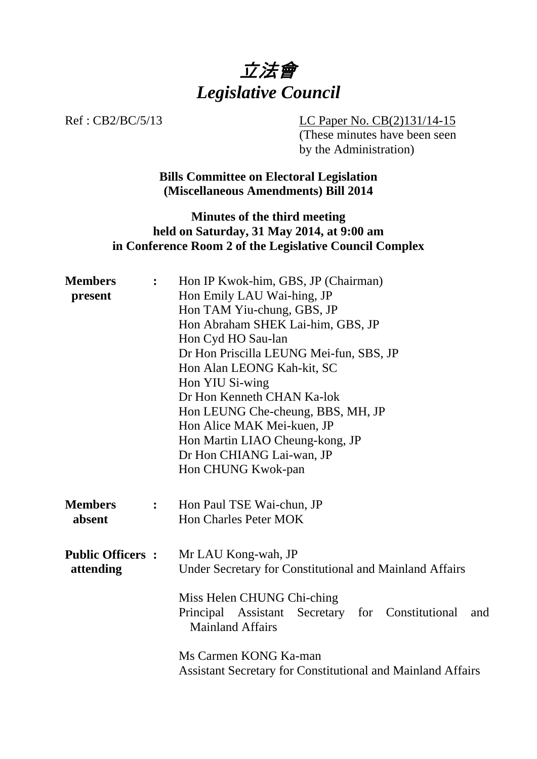

Ref : CB2/BC/5/13 LC Paper No. CB(2)131/14-15 (These minutes have been seen by the Administration)

> **Bills Committee on Electoral Legislation (Miscellaneous Amendments) Bill 2014**

## **Minutes of the third meeting held on Saturday, 31 May 2014, at 9:00 am in Conference Room 2 of the Legislative Council Complex**

| <b>Members</b>          | $\ddot{\cdot}$ | Hon IP Kwok-him, GBS, JP (Chairman)                                                  |
|-------------------------|----------------|--------------------------------------------------------------------------------------|
| present                 |                | Hon Emily LAU Wai-hing, JP<br>Hon TAM Yiu-chung, GBS, JP                             |
|                         |                | Hon Abraham SHEK Lai-him, GBS, JP                                                    |
|                         |                | Hon Cyd HO Sau-lan                                                                   |
|                         |                |                                                                                      |
|                         |                | Dr Hon Priscilla LEUNG Mei-fun, SBS, JP                                              |
|                         |                | Hon Alan LEONG Kah-kit, SC                                                           |
|                         |                | Hon YIU Si-wing                                                                      |
|                         |                | Dr Hon Kenneth CHAN Ka-lok                                                           |
|                         |                | Hon LEUNG Che-cheung, BBS, MH, JP                                                    |
|                         |                | Hon Alice MAK Mei-kuen, JP                                                           |
|                         |                | Hon Martin LIAO Cheung-kong, JP                                                      |
|                         |                | Dr Hon CHIANG Lai-wan, JP                                                            |
|                         |                | Hon CHUNG Kwok-pan                                                                   |
| <b>Members</b>          | $\ddot{\cdot}$ | Hon Paul TSE Wai-chun, JP                                                            |
| absent                  |                | <b>Hon Charles Peter MOK</b>                                                         |
|                         |                |                                                                                      |
| <b>Public Officers:</b> |                | Mr LAU Kong-wah, JP                                                                  |
| attending               |                | Under Secretary for Constitutional and Mainland Affairs                              |
|                         |                | Miss Helen CHUNG Chi-ching                                                           |
|                         |                | Principal Assistant Secretary for Constitutional<br>and<br><b>Mainland Affairs</b>   |
|                         |                | Ms Carmen KONG Ka-man<br>Assistant Secretary for Constitutional and Mainland Affairs |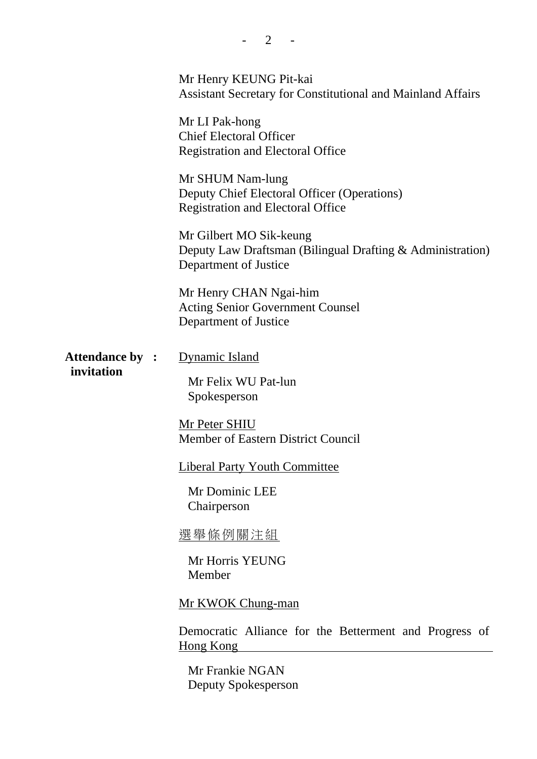|                       | Mr Henry KEUNG Pit-kai<br><b>Assistant Secretary for Constitutional and Mainland Affairs</b>                   |
|-----------------------|----------------------------------------------------------------------------------------------------------------|
|                       | Mr LI Pak-hong<br><b>Chief Electoral Officer</b><br><b>Registration and Electoral Office</b>                   |
|                       | Mr SHUM Nam-lung<br>Deputy Chief Electoral Officer (Operations)<br><b>Registration and Electoral Office</b>    |
|                       | Mr Gilbert MO Sik-keung<br>Deputy Law Draftsman (Bilingual Drafting & Administration)<br>Department of Justice |
|                       | Mr Henry CHAN Ngai-him<br><b>Acting Senior Government Counsel</b><br>Department of Justice                     |
| <b>Attendance by:</b> | <b>Dynamic Island</b>                                                                                          |
| invitation            | Mr Felix WU Pat-lun<br>Spokesperson                                                                            |
|                       | <b>Mr Peter SHIU</b><br><b>Member of Eastern District Council</b>                                              |
|                       | <b>Liberal Party Youth Committee</b>                                                                           |
|                       | Mr Dominic LEE<br>Chairperson                                                                                  |
|                       | <u>選舉條例關注組</u>                                                                                                 |
|                       | Mr Horris YEUNG<br>Member                                                                                      |
|                       | Mr KWOK Chung-man                                                                                              |
|                       | Democratic Alliance for the Betterment and Progress of<br><u>Hong Kong</u>                                     |
|                       | Mr Frankie NGAN<br>Deputy Spokesperson                                                                         |

 $- 2 - -$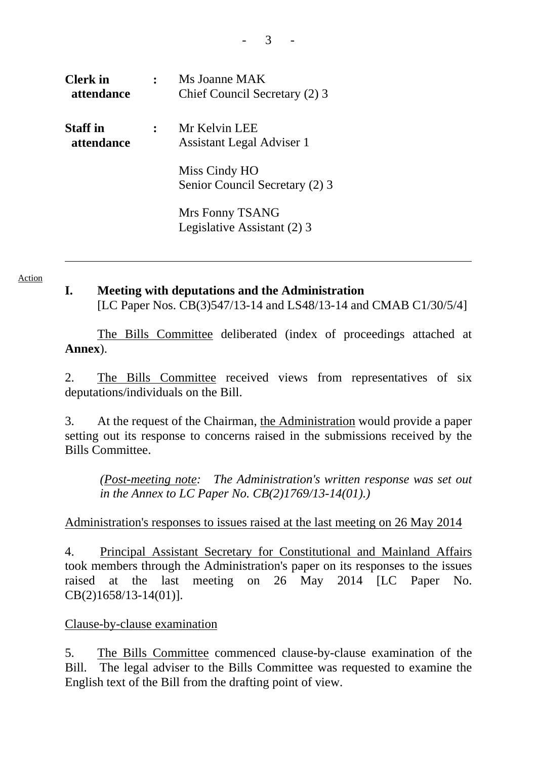| <b>Clerk</b> in<br><i>attendance</i> | Ms Joanne MAK<br>Chief Council Secretary (2) 3  |
|--------------------------------------|-------------------------------------------------|
| <b>Staff</b> in<br>attendance        | Mr Kelvin LEE<br>Assistant Legal Adviser 1      |
|                                      | Miss Cindy HO<br>Senior Council Secretary (2) 3 |
|                                      | Mrs Fonny TSANG<br>Legislative Assistant (2) 3  |

Action

**I. Meeting with deputations and the Administration**  [LC Paper Nos. CB(3)547/13-14 and LS48/13-14 and CMAB C1/30/5/4]

 The Bills Committee deliberated (index of proceedings attached at **Annex**).

2. The Bills Committee received views from representatives of six deputations/individuals on the Bill.

3. At the request of the Chairman, the Administration would provide a paper setting out its response to concerns raised in the submissions received by the Bills Committee.

*(Post-meeting note: The Administration's written response was set out in the Annex to LC Paper No. CB(2)1769/13-14(01).)* 

### Administration's responses to issues raised at the last meeting on 26 May 2014

4. Principal Assistant Secretary for Constitutional and Mainland Affairs took members through the Administration's paper on its responses to the issues raised at the last meeting on 26 May 2014 [LC Paper No. CB(2)1658/13-14(01)].

### Clause-by-clause examination

5. The Bills Committee commenced clause-by-clause examination of the Bill. The legal adviser to the Bills Committee was requested to examine the English text of the Bill from the drafting point of view.

- 3 -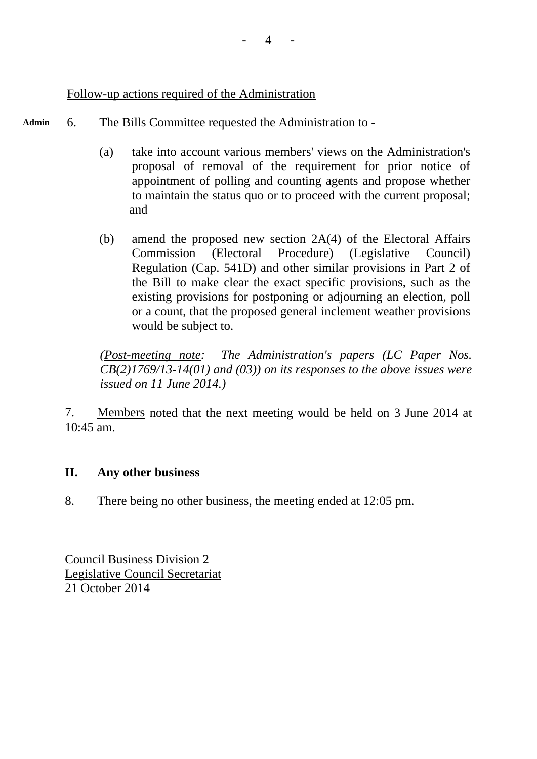## Follow-up actions required of the Administration

- **Admin**  6. The Bills Committee requested the Administration to -
	- (a) take into account various members' views on the Administration's proposal of removal of the requirement for prior notice of appointment of polling and counting agents and propose whether to maintain the status quo or to proceed with the current proposal; and
	- (b) amend the proposed new section 2A(4) of the Electoral Affairs Commission (Electoral Procedure) (Legislative Council) Regulation (Cap. 541D) and other similar provisions in Part 2 of the Bill to make clear the exact specific provisions, such as the existing provisions for postponing or adjourning an election, poll or a count, that the proposed general inclement weather provisions would be subject to.

*(Post-meeting note: The Administration's papers (LC Paper Nos. CB(2)1769/13-14(01) and (03)) on its responses to the above issues were issued on 11 June 2014.)* 

7. Members noted that the next meeting would be held on 3 June 2014 at 10:45 am.

# **II. Any other business**

8. There being no other business, the meeting ended at 12:05 pm.

Council Business Division 2 Legislative Council Secretariat 21 October 2014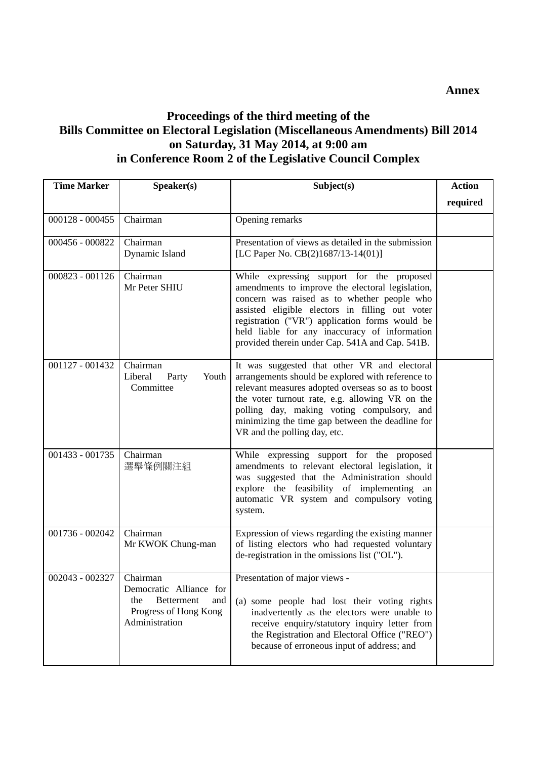# **Proceedings of the third meeting of the Bills Committee on Electoral Legislation (Miscellaneous Amendments) Bill 2014 on Saturday, 31 May 2014, at 9:00 am in Conference Room 2 of the Legislative Council Complex**

| <b>Time Marker</b> | Speaker(s)                                                                                                        | Subject(s)                                                                                                                                                                                                                                                                                                                                            | <b>Action</b> |
|--------------------|-------------------------------------------------------------------------------------------------------------------|-------------------------------------------------------------------------------------------------------------------------------------------------------------------------------------------------------------------------------------------------------------------------------------------------------------------------------------------------------|---------------|
|                    |                                                                                                                   |                                                                                                                                                                                                                                                                                                                                                       | required      |
| $000128 - 000455$  | Chairman                                                                                                          | Opening remarks                                                                                                                                                                                                                                                                                                                                       |               |
| 000456 - 000822    | Chairman<br>Dynamic Island                                                                                        | Presentation of views as detailed in the submission<br>[LC Paper No. CB(2)1687/13-14(01)]                                                                                                                                                                                                                                                             |               |
| 000823 - 001126    | Chairman<br>Mr Peter SHIU                                                                                         | While expressing support for the proposed<br>amendments to improve the electoral legislation,<br>concern was raised as to whether people who<br>assisted eligible electors in filling out voter<br>registration ("VR") application forms would be<br>held liable for any inaccuracy of information<br>provided therein under Cap. 541A and Cap. 541B. |               |
| 001127 - 001432    | Chairman<br>Liberal<br>Youth<br>Party<br>Committee                                                                | It was suggested that other VR and electoral<br>arrangements should be explored with reference to<br>relevant measures adopted overseas so as to boost<br>the voter turnout rate, e.g. allowing VR on the<br>polling day, making voting compulsory, and<br>minimizing the time gap between the deadline for<br>VR and the polling day, etc.           |               |
| 001433 - 001735    | Chairman<br>選舉條例關注組                                                                                               | While expressing support for the proposed<br>amendments to relevant electoral legislation, it<br>was suggested that the Administration should<br>explore the feasibility of implementing an<br>automatic VR system and compulsory voting<br>system.                                                                                                   |               |
| 001736 - 002042    | Chairman<br>Mr KWOK Chung-man                                                                                     | Expression of views regarding the existing manner<br>of listing electors who had requested voluntary<br>de-registration in the omissions list ("OL").                                                                                                                                                                                                 |               |
| 002043 - 002327    | Chairman<br>Democratic Alliance for<br><b>Betterment</b><br>the<br>and<br>Progress of Hong Kong<br>Administration | Presentation of major views -<br>(a) some people had lost their voting rights<br>inadvertently as the electors were unable to<br>receive enquiry/statutory inquiry letter from<br>the Registration and Electoral Office ("REO")<br>because of erroneous input of address; and                                                                         |               |

#### **Annex**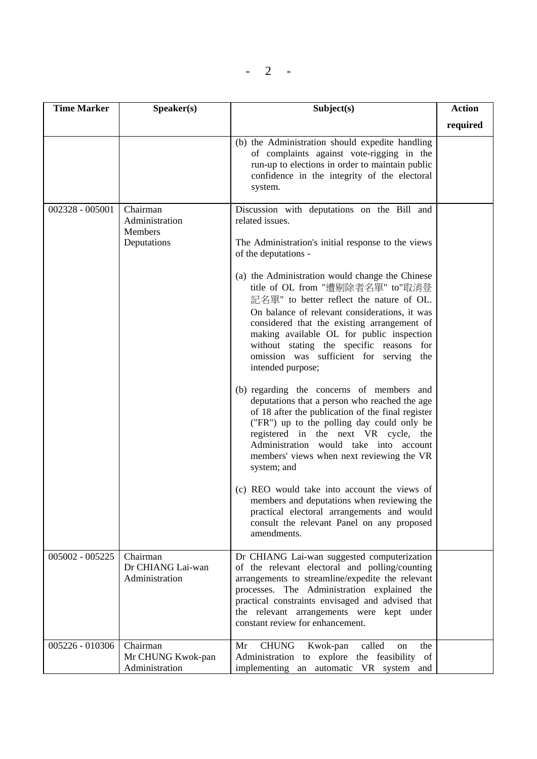$- 2 -$ 

| <b>Time Marker</b> | Speaker(s)                                                  | Subject(s)                                                                                                                                                                                                                                                                                                                                                                                                                                                                                                                                                                                                                                | <b>Action</b> |
|--------------------|-------------------------------------------------------------|-------------------------------------------------------------------------------------------------------------------------------------------------------------------------------------------------------------------------------------------------------------------------------------------------------------------------------------------------------------------------------------------------------------------------------------------------------------------------------------------------------------------------------------------------------------------------------------------------------------------------------------------|---------------|
|                    |                                                             |                                                                                                                                                                                                                                                                                                                                                                                                                                                                                                                                                                                                                                           | required      |
|                    |                                                             | (b) the Administration should expedite handling<br>of complaints against vote-rigging in the<br>run-up to elections in order to maintain public<br>confidence in the integrity of the electoral<br>system.                                                                                                                                                                                                                                                                                                                                                                                                                                |               |
| 002328 - 005001    | Chairman<br>Administration<br><b>Members</b><br>Deputations | Discussion with deputations on the Bill and<br>related issues.<br>The Administration's initial response to the views<br>of the deputations -<br>(a) the Administration would change the Chinese<br>title of OL from "遭剔除者名單" to"取消登<br>記名單" to better reflect the nature of OL.<br>On balance of relevant considerations, it was<br>considered that the existing arrangement of<br>making available OL for public inspection<br>without stating the specific reasons<br>for<br>omission was sufficient for serving the<br>intended purpose;<br>(b) regarding the concerns of members and<br>deputations that a person who reached the age |               |
|                    |                                                             | of 18 after the publication of the final register<br>("FR") up to the polling day could only be<br>registered in the next VR cycle, the<br>Administration would take into account<br>members' views when next reviewing the VR<br>system; and<br>(c) REO would take into account the views of<br>members and deputations when reviewing the<br>practical electoral arrangements and would<br>consult the relevant Panel on any proposed<br>amendments.                                                                                                                                                                                    |               |
| 005002 - 005225    | Chairman<br>Dr CHIANG Lai-wan<br>Administration             | Dr CHIANG Lai-wan suggested computerization<br>of the relevant electoral and polling/counting<br>arrangements to streamline/expedite the relevant<br>processes. The Administration explained the<br>practical constraints envisaged and advised that<br>the relevant arrangements were kept under<br>constant review for enhancement.                                                                                                                                                                                                                                                                                                     |               |
| 005226 - 010306    | Chairman<br>Mr CHUNG Kwok-pan<br>Administration             | <b>CHUNG</b><br>called<br>Mr<br>Kwok-pan<br>the<br>on<br>Administration to explore the feasibility of<br>implementing an automatic VR system and                                                                                                                                                                                                                                                                                                                                                                                                                                                                                          |               |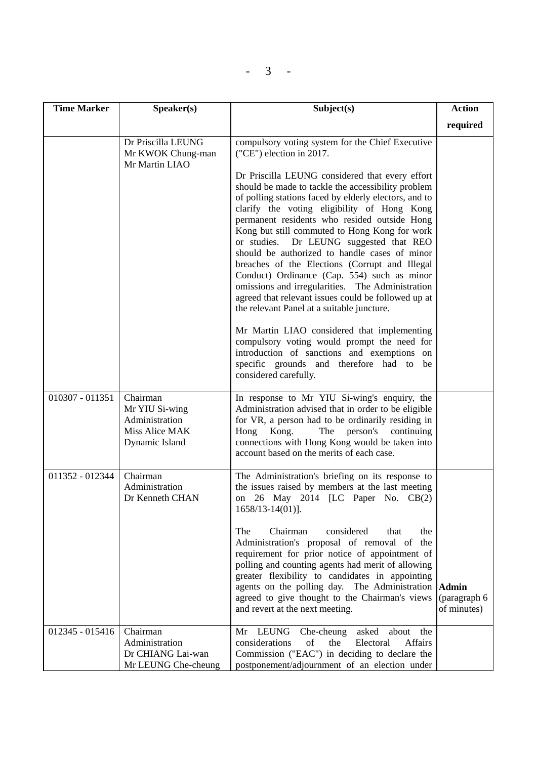| <b>Time Marker</b> | Speaker(s)                                                                       | Subject(s)                                                                                                                                                                                                                                                                                                                                                                                                                                                                                                                                                                                                                                                           | <b>Action</b>                               |
|--------------------|----------------------------------------------------------------------------------|----------------------------------------------------------------------------------------------------------------------------------------------------------------------------------------------------------------------------------------------------------------------------------------------------------------------------------------------------------------------------------------------------------------------------------------------------------------------------------------------------------------------------------------------------------------------------------------------------------------------------------------------------------------------|---------------------------------------------|
|                    |                                                                                  |                                                                                                                                                                                                                                                                                                                                                                                                                                                                                                                                                                                                                                                                      | required                                    |
|                    | Dr Priscilla LEUNG<br>Mr KWOK Chung-man<br>Mr Martin LIAO                        | compulsory voting system for the Chief Executive<br>("CE") election in 2017.                                                                                                                                                                                                                                                                                                                                                                                                                                                                                                                                                                                         |                                             |
|                    |                                                                                  | Dr Priscilla LEUNG considered that every effort<br>should be made to tackle the accessibility problem<br>of polling stations faced by elderly electors, and to<br>clarify the voting eligibility of Hong Kong<br>permanent residents who resided outside Hong<br>Kong but still commuted to Hong Kong for work<br>or studies. Dr LEUNG suggested that REO<br>should be authorized to handle cases of minor<br>breaches of the Elections (Corrupt and Illegal<br>Conduct) Ordinance (Cap. 554) such as minor<br>omissions and irregularities. The Administration<br>agreed that relevant issues could be followed up at<br>the relevant Panel at a suitable juncture. |                                             |
|                    |                                                                                  | Mr Martin LIAO considered that implementing<br>compulsory voting would prompt the need for<br>introduction of sanctions and exemptions on<br>specific grounds and therefore had to be<br>considered carefully.                                                                                                                                                                                                                                                                                                                                                                                                                                                       |                                             |
| 010307 - 011351    | Chairman<br>Mr YIU Si-wing<br>Administration<br>Miss Alice MAK<br>Dynamic Island | In response to Mr YIU Si-wing's enquiry, the<br>Administration advised that in order to be eligible<br>for VR, a person had to be ordinarily residing in<br>Hong Kong.<br>person's<br>The<br>continuing<br>connections with Hong Kong would be taken into<br>account based on the merits of each case.                                                                                                                                                                                                                                                                                                                                                               |                                             |
| 011352 - 012344    | Chairman<br>Administration<br>Dr Kenneth CHAN                                    | The Administration's briefing on its response to<br>the issues raised by members at the last meeting<br>on 26 May 2014 [LC Paper No. CB(2)<br>$1658/13 - 14(01)$ ].                                                                                                                                                                                                                                                                                                                                                                                                                                                                                                  |                                             |
|                    |                                                                                  | Chairman<br>considered<br>The<br>that<br>the<br>Administration's proposal of removal of the<br>requirement for prior notice of appointment of<br>polling and counting agents had merit of allowing<br>greater flexibility to candidates in appointing<br>agents on the polling day. The Administration<br>agreed to give thought to the Chairman's views<br>and revert at the next meeting.                                                                                                                                                                                                                                                                          | <b>Admin</b><br>(paragraph 6<br>of minutes) |
| 012345 - 015416    | Chairman<br>Administration<br>Dr CHIANG Lai-wan<br>Mr LEUNG Che-cheung           | Mr LEUNG<br>Che-cheung<br>asked<br>about<br>the<br>of<br>considerations<br>the<br>Electoral<br><b>Affairs</b><br>Commission ("EAC") in deciding to declare the<br>postponement/adjournment of an election under                                                                                                                                                                                                                                                                                                                                                                                                                                                      |                                             |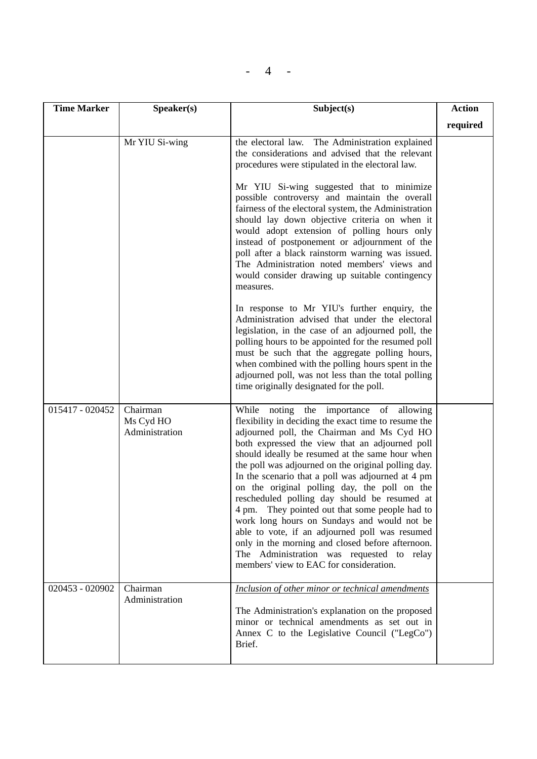| $\Delta$ |  |  |
|----------|--|--|
|----------|--|--|

| <b>Time Marker</b> | Speaker(s)                              | Subject(s)                                                                                                                                                                                                                                                                                                                                                                                                                                                                                                                                                                                                                                                                                                                                                    | <b>Action</b> |
|--------------------|-----------------------------------------|---------------------------------------------------------------------------------------------------------------------------------------------------------------------------------------------------------------------------------------------------------------------------------------------------------------------------------------------------------------------------------------------------------------------------------------------------------------------------------------------------------------------------------------------------------------------------------------------------------------------------------------------------------------------------------------------------------------------------------------------------------------|---------------|
|                    |                                         |                                                                                                                                                                                                                                                                                                                                                                                                                                                                                                                                                                                                                                                                                                                                                               | required      |
|                    | Mr YIU Si-wing                          | the electoral law. The Administration explained<br>the considerations and advised that the relevant<br>procedures were stipulated in the electoral law.<br>Mr YIU Si-wing suggested that to minimize<br>possible controversy and maintain the overall                                                                                                                                                                                                                                                                                                                                                                                                                                                                                                         |               |
|                    |                                         | fairness of the electoral system, the Administration<br>should lay down objective criteria on when it<br>would adopt extension of polling hours only<br>instead of postponement or adjournment of the<br>poll after a black rainstorm warning was issued.<br>The Administration noted members' views and<br>would consider drawing up suitable contingency<br>measures.                                                                                                                                                                                                                                                                                                                                                                                       |               |
|                    |                                         | In response to Mr YIU's further enquiry, the<br>Administration advised that under the electoral<br>legislation, in the case of an adjourned poll, the<br>polling hours to be appointed for the resumed poll<br>must be such that the aggregate polling hours,<br>when combined with the polling hours spent in the<br>adjourned poll, was not less than the total polling<br>time originally designated for the poll.                                                                                                                                                                                                                                                                                                                                         |               |
| 015417 - 020452    | Chairman<br>Ms Cyd HO<br>Administration | While noting the importance of allowing<br>flexibility in deciding the exact time to resume the<br>adjourned poll, the Chairman and Ms Cyd HO<br>both expressed the view that an adjourned poll<br>should ideally be resumed at the same hour when<br>the poll was adjourned on the original polling day.<br>In the scenario that a poll was adjourned at 4 pm<br>on the original polling day, the poll on the<br>rescheduled polling day should be resumed at<br>4 pm. They pointed out that some people had to<br>work long hours on Sundays and would not be<br>able to vote, if an adjourned poll was resumed<br>only in the morning and closed before afternoon.<br>The Administration was requested to relay<br>members' view to EAC for consideration. |               |
| 020453 - 020902    | Chairman<br>Administration              | Inclusion of other minor or technical amendments<br>The Administration's explanation on the proposed<br>minor or technical amendments as set out in<br>Annex C to the Legislative Council ("LegCo")<br>Brief.                                                                                                                                                                                                                                                                                                                                                                                                                                                                                                                                                 |               |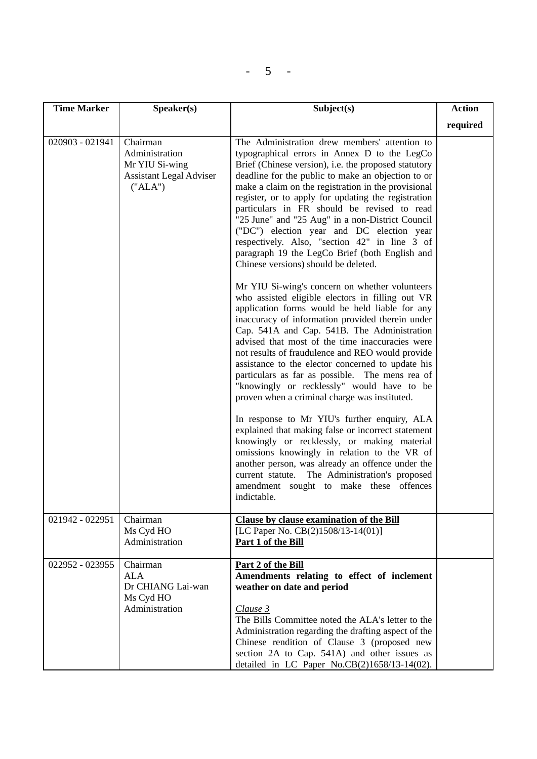|--|--|--|--|--|

| <b>Time Marker</b> | Speaker(s)                                                                                | Subject(s)                                                                                                                                                                                                                                                                                                                                                                                                                                                                                                                                                                                                           | <b>Action</b> |
|--------------------|-------------------------------------------------------------------------------------------|----------------------------------------------------------------------------------------------------------------------------------------------------------------------------------------------------------------------------------------------------------------------------------------------------------------------------------------------------------------------------------------------------------------------------------------------------------------------------------------------------------------------------------------------------------------------------------------------------------------------|---------------|
|                    |                                                                                           |                                                                                                                                                                                                                                                                                                                                                                                                                                                                                                                                                                                                                      | required      |
| 020903 - 021941    | Chairman<br>Administration<br>Mr YIU Si-wing<br><b>Assistant Legal Adviser</b><br>("ALA") | The Administration drew members' attention to<br>typographical errors in Annex D to the LegCo<br>Brief (Chinese version), i.e. the proposed statutory<br>deadline for the public to make an objection to or<br>make a claim on the registration in the provisional<br>register, or to apply for updating the registration<br>particulars in FR should be revised to read<br>"25 June" and "25 Aug" in a non-District Council<br>("DC") election year and DC election year<br>respectively. Also, "section 42" in line 3 of<br>paragraph 19 the LegCo Brief (both English and<br>Chinese versions) should be deleted. |               |
|                    |                                                                                           | Mr YIU Si-wing's concern on whether volunteers<br>who assisted eligible electors in filling out VR<br>application forms would be held liable for any<br>inaccuracy of information provided therein under<br>Cap. 541A and Cap. 541B. The Administration<br>advised that most of the time inaccuracies were<br>not results of fraudulence and REO would provide<br>assistance to the elector concerned to update his<br>particulars as far as possible. The mens rea of<br>"knowingly or recklessly" would have to be<br>proven when a criminal charge was instituted.                                                |               |
|                    |                                                                                           | In response to Mr YIU's further enquiry, ALA<br>explained that making false or incorrect statement<br>knowingly or recklessly, or making material<br>omissions knowingly in relation to the VR of<br>another person, was already an offence under the<br>The Administration's proposed<br>current statute.<br>amendment sought to make these offences<br>indictable.                                                                                                                                                                                                                                                 |               |
| 021942 - 022951    | Chairman<br>Ms Cyd HO<br>Administration                                                   | Clause by clause examination of the Bill<br>[LC Paper No. $CB(2)1508/13-14(01)$ ]<br>Part 1 of the Bill                                                                                                                                                                                                                                                                                                                                                                                                                                                                                                              |               |
| 022952 - 023955    | Chairman<br><b>ALA</b><br>Dr CHIANG Lai-wan<br>Ms Cyd HO<br>Administration                | Part 2 of the Bill<br>Amendments relating to effect of inclement<br>weather on date and period<br>Clause 3<br>The Bills Committee noted the ALA's letter to the<br>Administration regarding the drafting aspect of the<br>Chinese rendition of Clause 3 (proposed new<br>section 2A to Cap. 541A) and other issues as<br>detailed in LC Paper No.CB(2)1658/13-14(02).                                                                                                                                                                                                                                                |               |